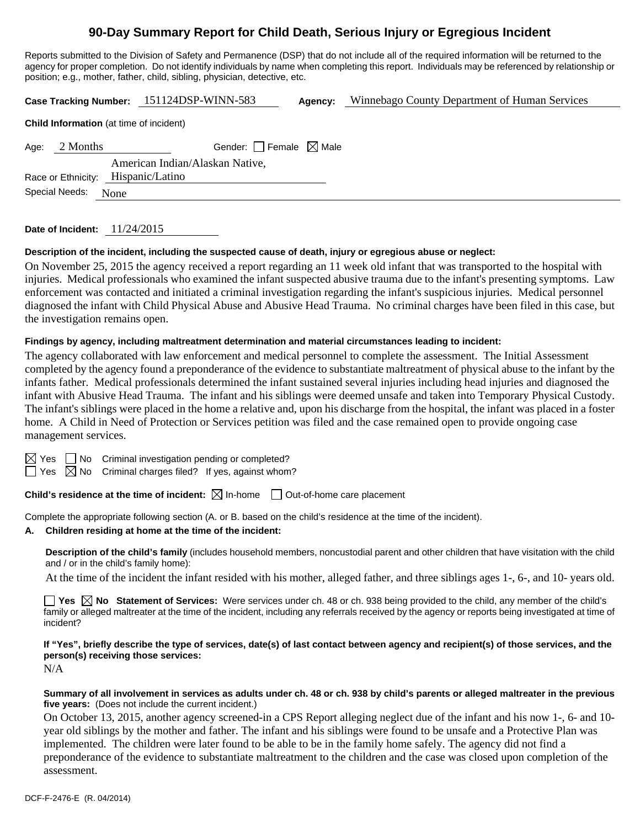# **90-Day Summary Report for Child Death, Serious Injury or Egregious Incident**

Reports submitted to the Division of Safety and Permanence (DSP) that do not include all of the required information will be returned to the agency for proper completion. Do not identify individuals by name when completing this report. Individuals may be referenced by relationship or position; e.g., mother, father, child, sibling, physician, detective, etc.

**Case Tracking Number:** 151124DSP-WINN-583 **Agency:** Winnebago County Department of Human Services

| <b>Child Information</b> (at time of incident) |
|------------------------------------------------|
|------------------------------------------------|

| Age: 2 Months       | Gender: Female $\boxtimes$ Male    |  |
|---------------------|------------------------------------|--|
|                     | American Indian/Alaskan Native.    |  |
|                     | Race or Ethnicity: Hispanic/Latino |  |
| Special Needs: None |                                    |  |

**Date of Incident:** 11/24/2015

# **Description of the incident, including the suspected cause of death, injury or egregious abuse or neglect:**

On November 25, 2015 the agency received a report regarding an 11 week old infant that was transported to the hospital with injuries. Medical professionals who examined the infant suspected abusive trauma due to the infant's presenting symptoms. Law enforcement was contacted and initiated a criminal investigation regarding the infant's suspicious injuries. Medical personnel diagnosed the infant with Child Physical Abuse and Abusive Head Trauma. No criminal charges have been filed in this case, but the investigation remains open.

### **Findings by agency, including maltreatment determination and material circumstances leading to incident:**

The agency collaborated with law enforcement and medical personnel to complete the assessment. The Initial Assessment completed by the agency found a preponderance of the evidence to substantiate maltreatment of physical abuse to the infant by the infants father. Medical professionals determined the infant sustained several injuries including head injuries and diagnosed the infant with Abusive Head Trauma. The infant and his siblings were deemed unsafe and taken into Temporary Physical Custody. The infant's siblings were placed in the home a relative and, upon his discharge from the hospital, the infant was placed in a foster home. A Child in Need of Protection or Services petition was filed and the case remained open to provide ongoing case management services.

 $\Box$  No Criminal investigation pending or completed?

 $\boxtimes$  No Criminal charges filed? If yes, against whom?

**Child's residence at the time of incident:**  $\boxtimes$  In-home  $\Box$  Out-of-home care placement

Complete the appropriate following section (A. or B. based on the child's residence at the time of the incident).

#### **A. Children residing at home at the time of the incident:**

**Description of the child's family** (includes household members, noncustodial parent and other children that have visitation with the child and / or in the child's family home):

At the time of the incident the infant resided with his mother, alleged father, and three siblings ages 1-, 6-, and 10- years old.

**Yes No** Statement of Services: Were services under ch. 48 or ch. 938 being provided to the child, any member of the child's family or alleged maltreater at the time of the incident, including any referrals received by the agency or reports being investigated at time of incident?

**If "Yes", briefly describe the type of services, date(s) of last contact between agency and recipient(s) of those services, and the person(s) receiving those services:** 

N/A

#### **Summary of all involvement in services as adults under ch. 48 or ch. 938 by child's parents or alleged maltreater in the previous five years:** (Does not include the current incident.)

On October 13, 2015, another agency screened-in a CPS Report alleging neglect due of the infant and his now 1-, 6- and 10 year old siblings by the mother and father. The infant and his siblings were found to be unsafe and a Protective Plan was implemented. The children were later found to be able to be in the family home safely. The agency did not find a preponderance of the evidence to substantiate maltreatment to the children and the case was closed upon completion of the assessment.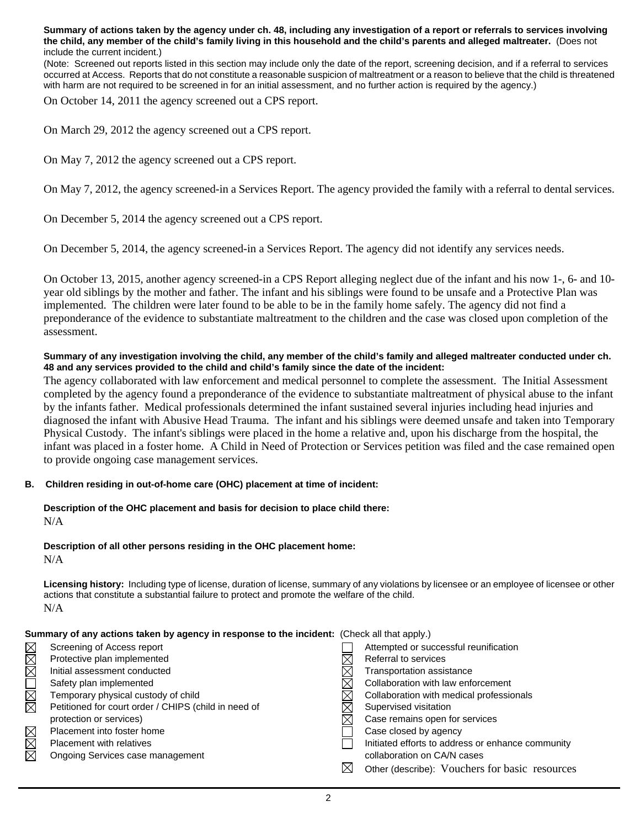**Summary of actions taken by the agency under ch. 48, including any investigation of a report or referrals to services involving the child, any member of the child's family living in this household and the child's parents and alleged maltreater.** (Does not include the current incident.)

(Note: Screened out reports listed in this section may include only the date of the report, screening decision, and if a referral to services occurred at Access. Reports that do not constitute a reasonable suspicion of maltreatment or a reason to believe that the child is threatened with harm are not required to be screened in for an initial assessment, and no further action is required by the agency.)

On October 14, 2011 the agency screened out a CPS report.

On March 29, 2012 the agency screened out a CPS report.

On May 7, 2012 the agency screened out a CPS report.

On May 7, 2012, the agency screened-in a Services Report. The agency provided the family with a referral to dental services.

On December 5, 2014 the agency screened out a CPS report.

On December 5, 2014, the agency screened-in a Services Report. The agency did not identify any services needs.

On October 13, 2015, another agency screened-in a CPS Report alleging neglect due of the infant and his now 1-, 6- and 10 year old siblings by the mother and father. The infant and his siblings were found to be unsafe and a Protective Plan was implemented. The children were later found to be able to be in the family home safely. The agency did not find a preponderance of the evidence to substantiate maltreatment to the children and the case was closed upon completion of the assessment.

## **Summary of any investigation involving the child, any member of the child's family and alleged maltreater conducted under ch. 48 and any services provided to the child and child's family since the date of the incident:**

The agency collaborated with law enforcement and medical personnel to complete the assessment. The Initial Assessment completed by the agency found a preponderance of the evidence to substantiate maltreatment of physical abuse to the infant by the infants father. Medical professionals determined the infant sustained several injuries including head injuries and diagnosed the infant with Abusive Head Trauma. The infant and his siblings were deemed unsafe and taken into Temporary Physical Custody. The infant's siblings were placed in the home a relative and, upon his discharge from the hospital, the infant was placed in a foster home. A Child in Need of Protection or Services petition was filed and the case remained open to provide ongoing case management services.

#### **B. Children residing in out-of-home care (OHC) placement at time of incident:**

# **Description of the OHC placement and basis for decision to place child there:** N/A

#### **Description of all other persons residing in the OHC placement home:** N/A

**Licensing history:** Including type of license, duration of license, summary of any violations by licensee or an employee of licensee or other actions that constitute a substantial failure to protect and promote the welfare of the child. N/A

|      | Summary of any actions taken by agency in response to the incident: (Check all that apply.) |   |                                                   |  |
|------|---------------------------------------------------------------------------------------------|---|---------------------------------------------------|--|
|      | Screening of Access report                                                                  |   | Attempted or successful reunification             |  |
| MMM  | Protective plan implemented                                                                 |   | Referral to services                              |  |
|      | Initial assessment conducted                                                                |   | Transportation assistance                         |  |
|      | Safety plan implemented                                                                     |   | Collaboration with law enforcement                |  |
|      | Temporary physical custody of child                                                         | × | Collaboration with medical professionals          |  |
| MMOI | Petitioned for court order / CHIPS (child in need of                                        |   | Supervised visitation                             |  |
|      | protection or services)                                                                     |   | Case remains open for services                    |  |
|      | Placement into foster home                                                                  |   | Case closed by agency                             |  |
| MMM  | Placement with relatives                                                                    |   | Initiated efforts to address or enhance community |  |
|      | Ongoing Services case management                                                            |   | collaboration on CA/N cases                       |  |
|      |                                                                                             |   | Other (describe): Vouchers for basic resources    |  |